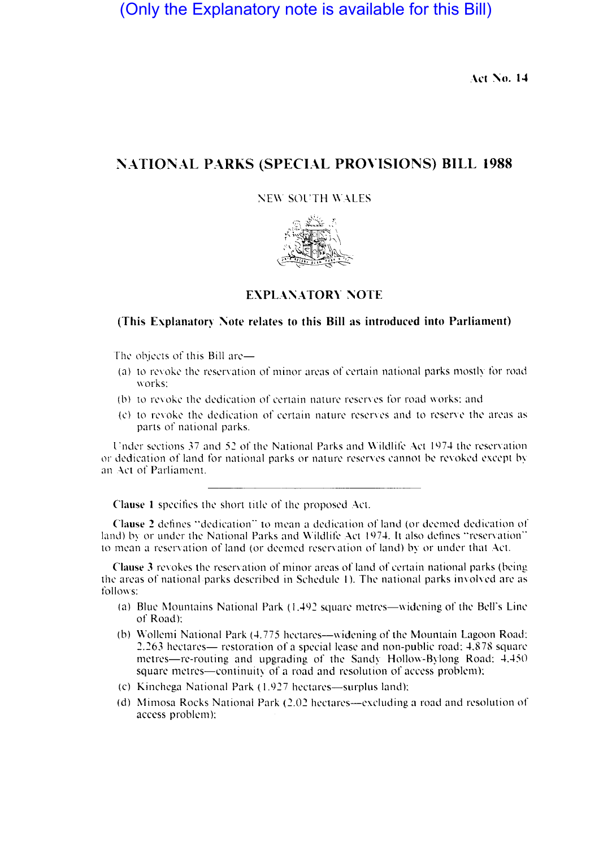(Only the Explanatory note is available for this Bill)

Act No. 14

## **l"ATIONAL PARKS (SPECIAL PROVISIONS) BILL 1988**

;\;E\\ SOl'TH WALES



## **EXPLANATORY NOTE**

## (This Explanatory Note relates to this Bill as introduced into Parliament)

The objects of this Bill are-

- (a) to revoke the reservation of minor areas of certain national parks mostly for road works:
- (b) to revoke the dedication of certain nature reserves for road works; and
- (c) to revoke the dedication of certain nature reserves and to reserve the areas as parts of national parks.

Under sections 37 and 52 of the National Parks and Wildlife Act 1974 the reservation or dedication of land for national parks or nature reserves cannot be revoked except by an Act of Parliament.

Clause 1 specifies the short title of the proposed Act.

**Chmst' 2** defines "dedication" to mean a dedication of land (or deemed dedication of land) by or under the National Parks and Wildlife Act 1974. It also defines "reservation" to mean a reservation of land (or deemed reservation of land) by or under that Act.

**Clause 3** revokes the reservation of minor areas of land of certain national parks (being. the areas of national parks described in Schedule 1). The national parks involved are as follows:

- (a) Blue Mountains National Park  $(1.492$  square metres-widening of the Bell's Line of Road):
- (b) Wollemi National Park (4.775 hectares—widening of the Mountain Lagoon Road: 2.263 hectares— restoration of a special lease and non-public road: 4.878 square metres-re-routing and upgrading of the Sandy Hollow-Bylong Road: 4.450 square metres-continuity of a road and resolution of access problem):
- (c) Kinchega National Park  $(1.927$  hectares—surplus land):
- (d) Mimosa Rocks National Park  $(2.02$  hectares—excluding a road and resolution of access problem):